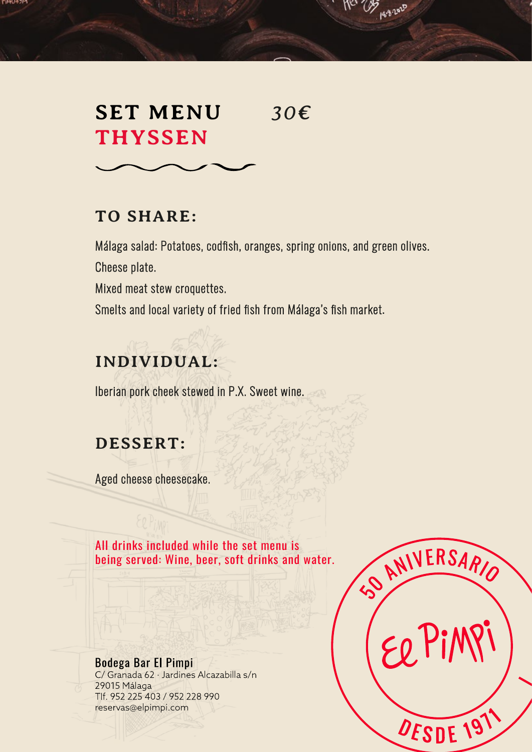#### гичин эн

# **SET MENU** *30€*  **THYSSEN**

### **TO SHARE:**

Málaga salad: Potatoes, codfish, oranges, spring onions, and green olives. Cheese plate.

**ICI CAS 182020** 

Mixed meat stew croquettes.

Smelts and local variety of fried fish from Málaga's fish market.

### **INDIVIDUAL:**

Iberian pork cheek stewed in P.X. Sweet wine.

### **DESSERT:**

Aged cheese cheesecake.

All drinks included while the set menu is being served: Wine, beer, soft drinks and water.

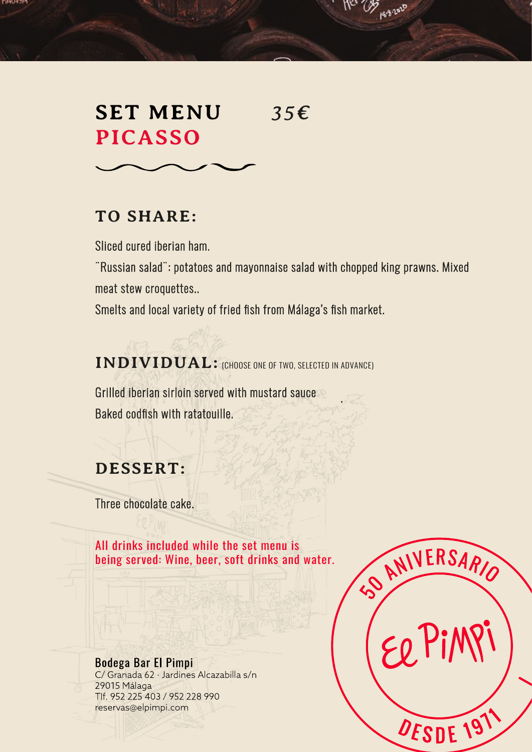#### гчын эн

# **SET MENU** *35€*  **PICASSO**

**ICI CAS 182020** 

### **TO SHARE:**

Sliced cured iberian ham.

¨Russian salad¨: potatoes and mayonnaise salad with chopped king prawns. Mixed meat stew croquettes..

Smelts and local variety of fried fish from Málaga's fish market.

**INDIVIDUAL:** (CHOOSE ONE OF TWO, SELECTED IN ADVANCE)

. Grilled iberian sirloin served with mustard sauce Baked codfish with ratatouille.

### **DESSERT:**

Three chocolate cake.

All drinks included while the set menu is being served: Wine, beer, soft drinks and water.

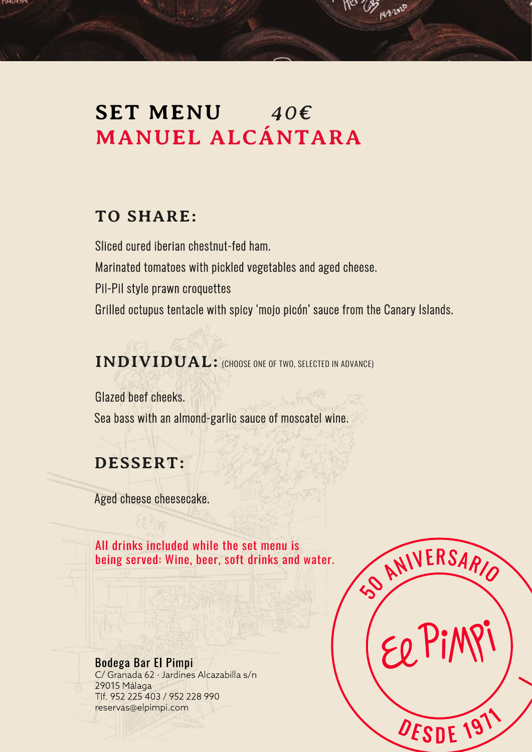## **SET MENU** *40€*  **MANUEL ALCÁNTARA**

### **TO SHARE:**

гичин эн

Sliced cured iberian chestnut-fed ham. Marinated tomatoes with pickled vegetables and aged cheese. Pil-Pil style prawn croquettes Grilled octupus tentacle with spicy 'mojo picón' sauce from the Canary Islands.

12 As 2020

**INDIVIDUAL:** (CHOOSE ONE OF TWO, SELECTED IN ADVANCE)

Glazed beef cheeks. Sea bass with an almond-garlic sauce of moscatel wine.

### **DESSERT:**

Aged cheese cheesecake.

All drinks included while the set menu is being served: Wine, beer, soft drinks and water.

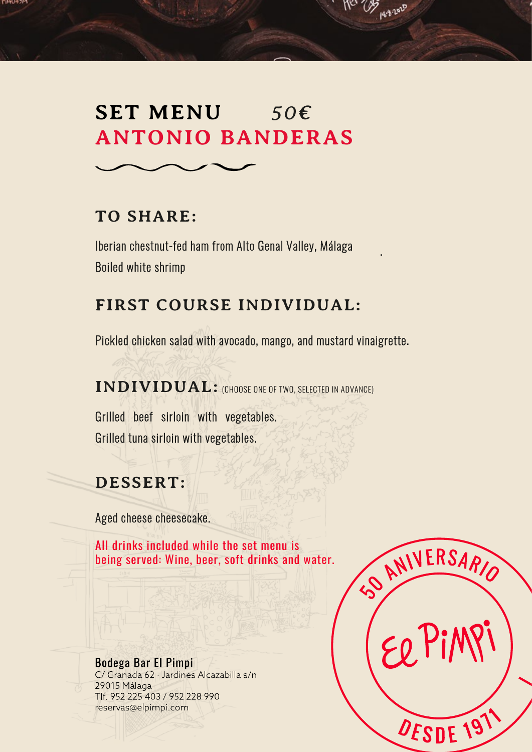### **SET MENU** *50€*  **ANTONIO BANDERAS**

### **TO SHARE:**

гичин эн

Iberian chestnut-fed ham from Alto Genal Valley, Málaga Boiled white shrimp

### **FIRST COURSE INDIVIDUAL:**

Pickled chicken salad with avocado, mango, and mustard vinaigrette.

**INDIVIDUAL:** (CHOOSE ONE OF TWO, SELECTED IN ADVANCE)

Grilled beef sirloin with vegetables. Grilled tuna sirloin with vegetables.

### **DESSERT:**

Aged cheese cheesecake.

All drinks included while the set menu is being served: Wine, beer, soft drinks and water.

Bodega Bar El Pimpi C/ Granada 62 · Jardines Alcazabilla s/n 29015 Málaga Tlf. 952 225 403 / 952 228 990 reservas@elpimpi.com



.

12 23 1882 2020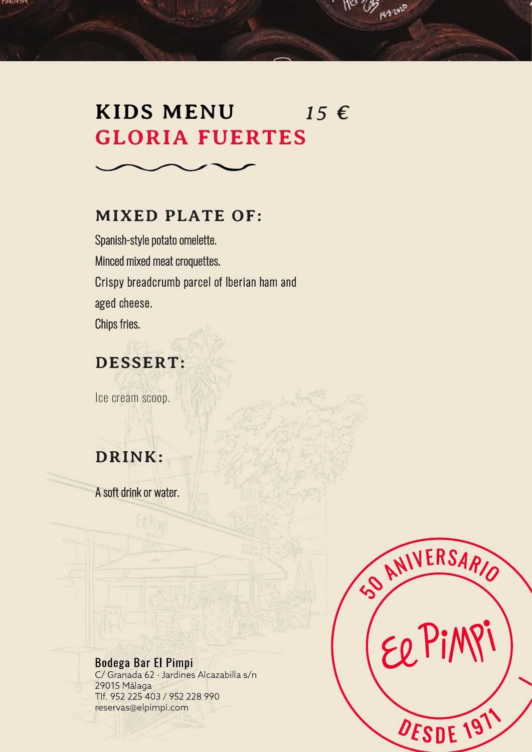#### гичин эн

## **KIDS MENU**  $15 \in$ **GLORIA FUERTES**

Mer 23 persons

#### **MIXED PLATE OF:**

Spanish-style potato omelette. Minced mixed meat croquettes. Crispy breadcrumb parcel of Iberian ham and aged cheese. Chips fries.

### **DESSERT:**

Ice cream scoop.

### **DRINK:**

A soft drink or water.